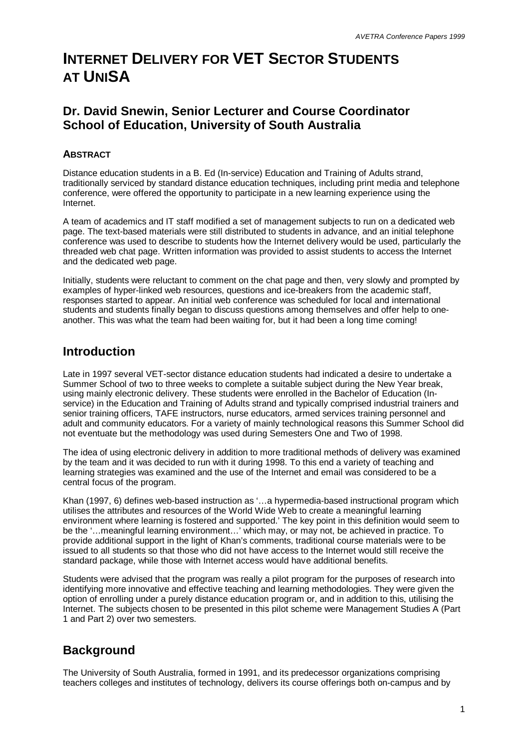# **INTERNET DELIVERY FOR VET SECTOR STUDENTS AT UNISA**

## **Dr. David Snewin, Senior Lecturer and Course Coordinator School of Education, University of South Australia**

### **ABSTRACT**

Distance education students in a B. Ed (In-service) Education and Training of Adults strand, traditionally serviced by standard distance education techniques, including print media and telephone conference, were offered the opportunity to participate in a new learning experience using the Internet.

A team of academics and IT staff modified a set of management subjects to run on a dedicated web page. The text-based materials were still distributed to students in advance, and an initial telephone conference was used to describe to students how the Internet delivery would be used, particularly the threaded web chat page. Written information was provided to assist students to access the Internet and the dedicated web page.

Initially, students were reluctant to comment on the chat page and then, very slowly and prompted by examples of hyper-linked web resources, questions and ice-breakers from the academic staff, responses started to appear. An initial web conference was scheduled for local and international students and students finally began to discuss questions among themselves and offer help to oneanother. This was what the team had been waiting for, but it had been a long time coming!

### **Introduction**

Late in 1997 several VET-sector distance education students had indicated a desire to undertake a Summer School of two to three weeks to complete a suitable subject during the New Year break, using mainly electronic delivery. These students were enrolled in the Bachelor of Education (Inservice) in the Education and Training of Adults strand and typically comprised industrial trainers and senior training officers, TAFE instructors, nurse educators, armed services training personnel and adult and community educators. For a variety of mainly technological reasons this Summer School did not eventuate but the methodology was used during Semesters One and Two of 1998.

The idea of using electronic delivery in addition to more traditional methods of delivery was examined by the team and it was decided to run with it during 1998. To this end a variety of teaching and learning strategies was examined and the use of the Internet and email was considered to be a central focus of the program.

Khan (1997, 6) defines web-based instruction as '… a hypermedia-based instructional program which utilises the attributes and resources of the World Wide Web to create a meaningful learning environment where learning is fostered and supported.' The key point in this definition would seem to be the '… meaningful learning environment… ' which may, or may not, be achieved in practice. To provide additional support in the light of Khan's comments, traditional course materials were to be issued to all students so that those who did not have access to the Internet would still receive the standard package, while those with Internet access would have additional benefits.

Students were advised that the program was really a pilot program for the purposes of research into identifying more innovative and effective teaching and learning methodologies. They were given the option of enrolling under a purely distance education program or, and in addition to this, utilising the Internet. The subjects chosen to be presented in this pilot scheme were Management Studies A (Part 1 and Part 2) over two semesters.

# **Background**

The University of South Australia, formed in 1991, and its predecessor organizations comprising teachers colleges and institutes of technology, delivers its course offerings both on-campus and by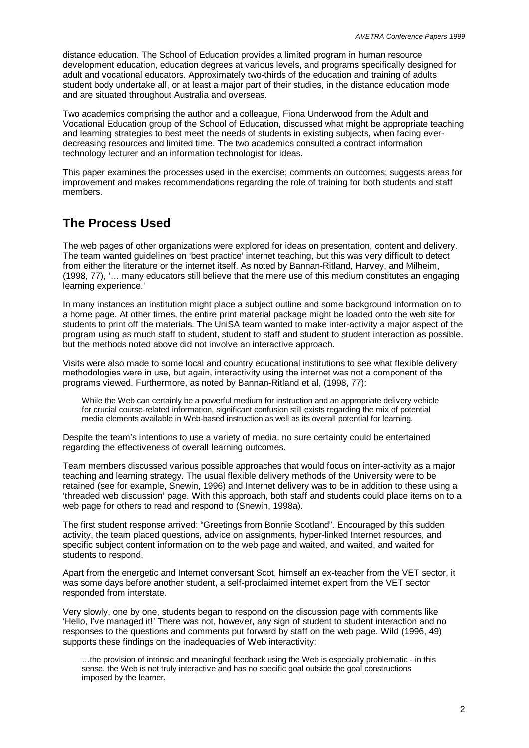distance education. The School of Education provides a limited program in human resource development education, education degrees at various levels, and programs specifically designed for adult and vocational educators. Approximately two-thirds of the education and training of adults student body undertake all, or at least a major part of their studies, in the distance education mode and are situated throughout Australia and overseas.

Two academics comprising the author and a colleague, Fiona Underwood from the Adult and Vocational Education group of the School of Education, discussed what might be appropriate teaching and learning strategies to best meet the needs of students in existing subjects, when facing everdecreasing resources and limited time. The two academics consulted a contract information technology lecturer and an information technologist for ideas.

This paper examines the processes used in the exercise; comments on outcomes; suggests areas for improvement and makes recommendations regarding the role of training for both students and staff members.

## **The Process Used**

The web pages of other organizations were explored for ideas on presentation, content and delivery. The team wanted guidelines on 'best practice' internet teaching, but this was very difficult to detect from either the literature or the internet itself. As noted by Bannan-Ritland, Harvey, and Milheim, (1998, 77), '… many educators still believe that the mere use of this medium constitutes an engaging learning experience.'

In many instances an institution might place a subject outline and some background information on to a home page. At other times, the entire print material package might be loaded onto the web site for students to print off the materials. The UniSA team wanted to make inter-activity a major aspect of the program using as much staff to student, student to staff and student to student interaction as possible, but the methods noted above did not involve an interactive approach.

Visits were also made to some local and country educational institutions to see what flexible delivery methodologies were in use, but again, interactivity using the internet was not a component of the programs viewed. Furthermore, as noted by Bannan-Ritland et al, (1998, 77):

While the Web can certainly be a powerful medium for instruction and an appropriate delivery vehicle for crucial course-related information, significant confusion still exists regarding the mix of potential media elements available in Web-based instruction as well as its overall potential for learning.

Despite the team's intentions to use a variety of media, no sure certainty could be entertained regarding the effectiveness of overall learning outcomes.

Team members discussed various possible approaches that would focus on inter-activity as a major teaching and learning strategy. The usual flexible delivery methods of the University were to be retained (see for example, Snewin, 1996) and Internet delivery was to be in addition to these using a 'threaded web discussion' page. With this approach, both staff and students could place items on to a web page for others to read and respond to (Snewin, 1998a).

The first student response arrived: "Greetings from Bonnie Scotland". Encouraged by this sudden activity, the team placed questions, advice on assignments, hyper-linked Internet resources, and specific subject content information on to the web page and waited, and waited, and waited for students to respond.

Apart from the energetic and Internet conversant Scot, himself an ex-teacher from the VET sector, it was some days before another student, a self-proclaimed internet expert from the VET sector responded from interstate.

Very slowly, one by one, students began to respond on the discussion page with comments like 'Hello, I've managed it!' There was not, however, any sign of student to student interaction and no responses to the questions and comments put forward by staff on the web page. Wild (1996, 49) supports these findings on the inadequacies of Web interactivity:

… the provision of intrinsic and meaningful feedback using the Web is especially problematic - in this sense, the Web is not truly interactive and has no specific goal outside the goal constructions imposed by the learner.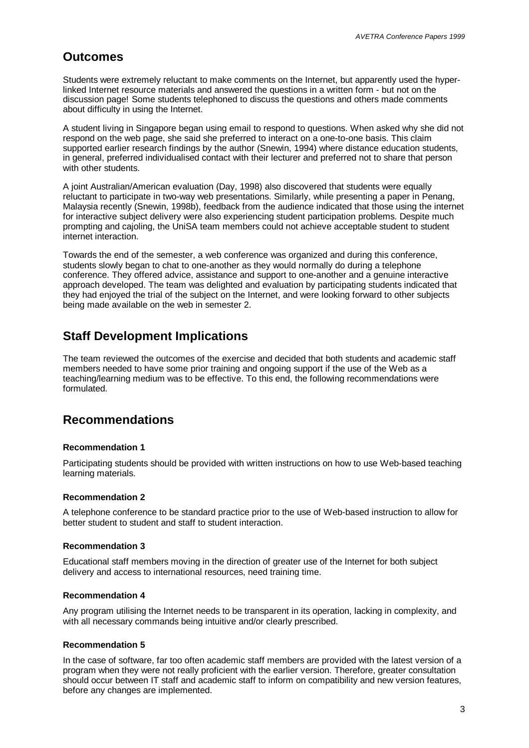### **Outcomes**

Students were extremely reluctant to make comments on the Internet, but apparently used the hyperlinked Internet resource materials and answered the questions in a written form - but not on the discussion page! Some students telephoned to discuss the questions and others made comments about difficulty in using the Internet.

A student living in Singapore began using email to respond to questions. When asked why she did not respond on the web page, she said she preferred to interact on a one-to-one basis. This claim supported earlier research findings by the author (Snewin, 1994) where distance education students, in general, preferred individualised contact with their lecturer and preferred not to share that person with other students.

A joint Australian/American evaluation (Day, 1998) also discovered that students were equally reluctant to participate in two-way web presentations. Similarly, while presenting a paper in Penang, Malaysia recently (Snewin, 1998b), feedback from the audience indicated that those using the internet for interactive subject delivery were also experiencing student participation problems. Despite much prompting and cajoling, the UniSA team members could not achieve acceptable student to student internet interaction.

Towards the end of the semester, a web conference was organized and during this conference, students slowly began to chat to one-another as they would normally do during a telephone conference. They offered advice, assistance and support to one-another and a genuine interactive approach developed. The team was delighted and evaluation by participating students indicated that they had enjoyed the trial of the subject on the Internet, and were looking forward to other subjects being made available on the web in semester 2.

## **Staff Development Implications**

The team reviewed the outcomes of the exercise and decided that both students and academic staff members needed to have some prior training and ongoing support if the use of the Web as a teaching/learning medium was to be effective. To this end, the following recommendations were formulated.

## **Recommendations**

#### **Recommendation 1**

Participating students should be provided with written instructions on how to use Web-based teaching learning materials.

#### **Recommendation 2**

A telephone conference to be standard practice prior to the use of Web-based instruction to allow for better student to student and staff to student interaction.

#### **Recommendation 3**

Educational staff members moving in the direction of greater use of the Internet for both subject delivery and access to international resources, need training time.

#### **Recommendation 4**

Any program utilising the Internet needs to be transparent in its operation, lacking in complexity, and with all necessary commands being intuitive and/or clearly prescribed.

#### **Recommendation 5**

In the case of software, far too often academic staff members are provided with the latest version of a program when they were not really proficient with the earlier version. Therefore, greater consultation should occur between IT staff and academic staff to inform on compatibility and new version features, before any changes are implemented.